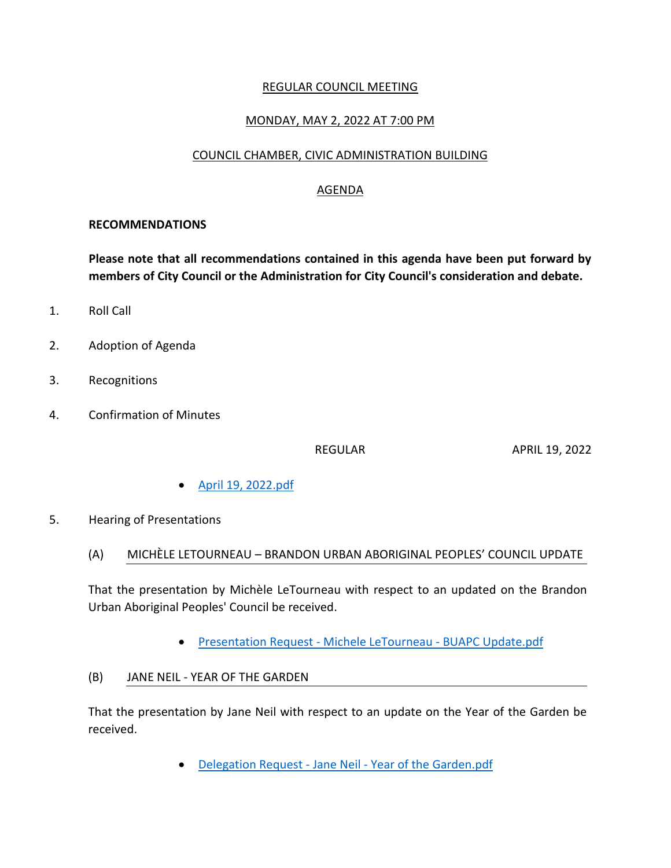## REGULAR COUNCIL MEETING

# MONDAY, MAY 2, 2022 AT 7:00 PM

#### COUNCIL CHAMBER, CIVIC ADMINISTRATION BUILDING

## AGENDA

#### **RECOMMENDATIONS**

**Please note that all recommendations contained in this agenda have been put forward by members of City Council or the Administration for City Council's consideration and debate.**

- 1. Roll Call
- 2. Adoption of Agenda
- 3. Recognitions
- 4. Confirmation of Minutes

REGULAR APRIL 19, 2022

- [April 19, 2022.pdf](https://paperlesscouncil.brandon.ca/attachments/A_2022/COM_EWTIKOYXPJXEDRBBUTMDENEEHFFWKFMSHXPMUKORVCYSLNOWWBI_April%2019,%202022.pdf)
- 5. Hearing of Presentations
	- (A) MICHÈLE LETOURNEAU BRANDON URBAN ABORIGINAL PEOPLES' COUNCIL UPDATE

That the presentation by Michèle LeTourneau with respect to an updated on the Brandon Urban Aboriginal Peoples' Council be received.

- **•** [Presentation Request -](https://paperlesscouncil.brandon.ca/attachments/A_2022/HOP_YGTILCSFLNLQYGASVXNYXYQOMVGHPVXYHPCPHWIIPZCAXVKJIGJ_Presentation%20Request%20-%20Michele%20LeTourneau%20-%20BUAPC%20Update.pdf) Michele LeTourneau BUAPC Update.pdf
- (B) JANE NEIL YEAR OF THE GARDEN

That the presentation by Jane Neil with respect to an update on the Year of the Garden be received.

Delegation Request - Jane Neil - [Year of the Garden.pdf](https://paperlesscouncil.brandon.ca/attachments/A_2022/HOP_MUEYGLJRDRBUXXFOKLZJTGBRPVVCEKKQQNZAFKZGEABFZMYTBPM_Delegation%20Request%20-%20Jane%20Neil%20-%20Year%20of%20the%20Garden.pdf)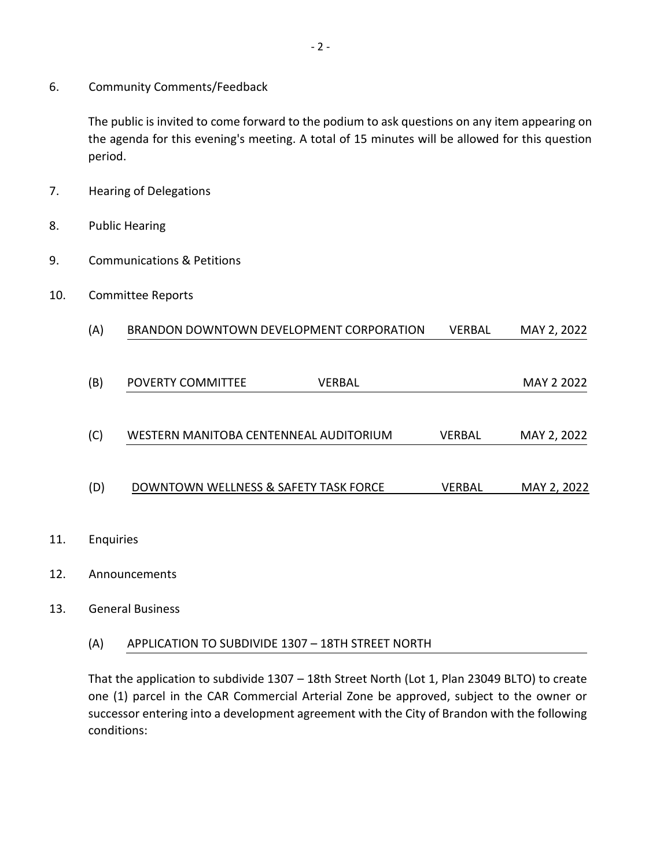6. Community Comments/Feedback

The public is invited to come forward to the podium to ask questions on any item appearing on the agenda for this evening's meeting. A total of 15 minutes will be allowed for this question period.

- 7. Hearing of Delegations
- 8. Public Hearing
- 9. Communications & Petitions
- 10. Committee Reports

| (A)       | BRANDON DOWNTOWN DEVELOPMENT CORPORATION | <b>VERBAL</b> | MAY 2, 2022 |
|-----------|------------------------------------------|---------------|-------------|
|           |                                          |               |             |
| (B)       | POVERTY COMMITTEE<br>VERBAL              |               | MAY 2 2022  |
|           |                                          |               |             |
| (C)       | WESTERN MANITOBA CENTENNEAL AUDITORIUM   | <b>VERBAL</b> | MAY 2, 2022 |
|           |                                          |               |             |
| (D)       | DOWNTOWN WELLNESS & SAFETY TASK FORCE    | <b>VERBAL</b> | MAY 2, 2022 |
|           |                                          |               |             |
| Enquiries |                                          |               |             |

12. Announcements

11.

### 13. General Business

(A) APPLICATION TO SUBDIVIDE 1307 – 18TH STREET NORTH

That the application to subdivide 1307 – 18th Street North (Lot 1, Plan 23049 BLTO) to create one (1) parcel in the CAR Commercial Arterial Zone be approved, subject to the owner or successor entering into a development agreement with the City of Brandon with the following conditions: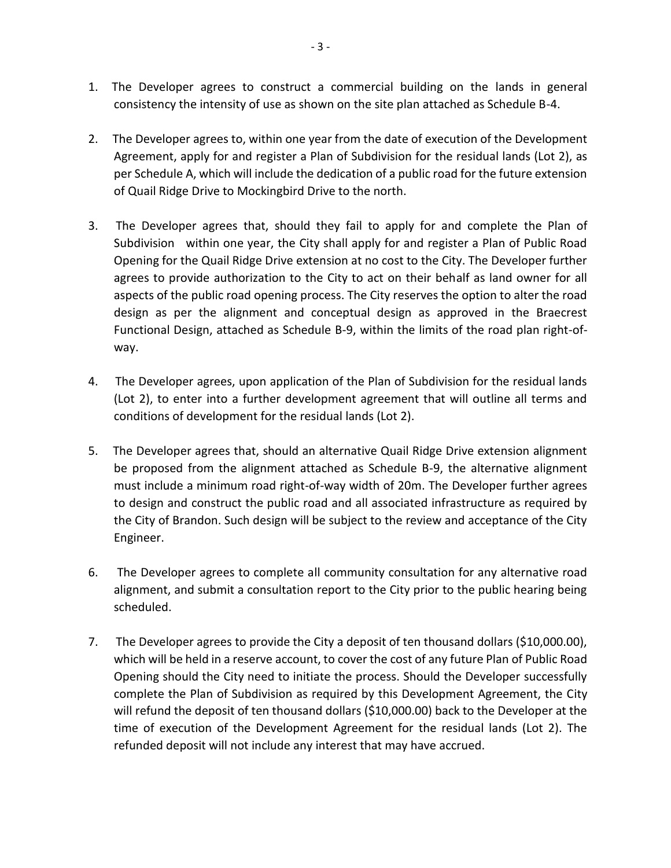- 1. The Developer agrees to construct a commercial building on the lands in general consistency the intensity of use as shown on the site plan attached as Schedule B-4.
- 2. The Developer agrees to, within one year from the date of execution of the Development Agreement, apply for and register a Plan of Subdivision for the residual lands (Lot 2), as per Schedule A, which will include the dedication of a public road for the future extension of Quail Ridge Drive to Mockingbird Drive to the north.
- 3. The Developer agrees that, should they fail to apply for and complete the Plan of Subdivision within one year, the City shall apply for and register a Plan of Public Road Opening for the Quail Ridge Drive extension at no cost to the City. The Developer further agrees to provide authorization to the City to act on their behalf as land owner for all aspects of the public road opening process. The City reserves the option to alter the road design as per the alignment and conceptual design as approved in the Braecrest Functional Design, attached as Schedule B-9, within the limits of the road plan right-ofway.
- 4. The Developer agrees, upon application of the Plan of Subdivision for the residual lands (Lot 2), to enter into a further development agreement that will outline all terms and conditions of development for the residual lands (Lot 2).
- 5. The Developer agrees that, should an alternative Quail Ridge Drive extension alignment be proposed from the alignment attached as Schedule B-9, the alternative alignment must include a minimum road right-of-way width of 20m. The Developer further agrees to design and construct the public road and all associated infrastructure as required by the City of Brandon. Such design will be subject to the review and acceptance of the City Engineer.
- 6. The Developer agrees to complete all community consultation for any alternative road alignment, and submit a consultation report to the City prior to the public hearing being scheduled.
- 7. The Developer agrees to provide the City a deposit of ten thousand dollars (\$10,000.00), which will be held in a reserve account, to cover the cost of any future Plan of Public Road Opening should the City need to initiate the process. Should the Developer successfully complete the Plan of Subdivision as required by this Development Agreement, the City will refund the deposit of ten thousand dollars (\$10,000.00) back to the Developer at the time of execution of the Development Agreement for the residual lands (Lot 2). The refunded deposit will not include any interest that may have accrued.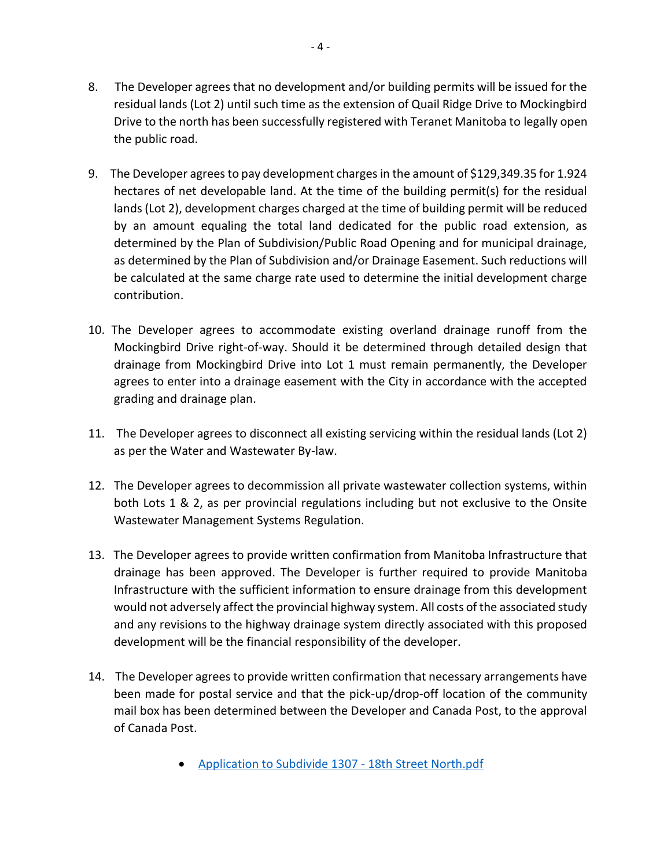- 8. The Developer agrees that no development and/or building permits will be issued for the residual lands (Lot 2) until such time as the extension of Quail Ridge Drive to Mockingbird Drive to the north has been successfully registered with Teranet Manitoba to legally open the public road.
- 9. The Developer agrees to pay development charges in the amount of \$129,349.35 for 1.924 hectares of net developable land. At the time of the building permit(s) for the residual lands (Lot 2), development charges charged at the time of building permit will be reduced by an amount equaling the total land dedicated for the public road extension, as determined by the Plan of Subdivision/Public Road Opening and for municipal drainage, as determined by the Plan of Subdivision and/or Drainage Easement. Such reductions will be calculated at the same charge rate used to determine the initial development charge contribution.
- 10. The Developer agrees to accommodate existing overland drainage runoff from the Mockingbird Drive right-of-way. Should it be determined through detailed design that drainage from Mockingbird Drive into Lot 1 must remain permanently, the Developer agrees to enter into a drainage easement with the City in accordance with the accepted grading and drainage plan.
- 11. The Developer agrees to disconnect all existing servicing within the residual lands (Lot 2) as per the Water and Wastewater By-law.
- 12. The Developer agrees to decommission all private wastewater collection systems, within both Lots 1 & 2, as per provincial regulations including but not exclusive to the Onsite Wastewater Management Systems Regulation.
- 13. The Developer agrees to provide written confirmation from Manitoba Infrastructure that drainage has been approved. The Developer is further required to provide Manitoba Infrastructure with the sufficient information to ensure drainage from this development would not adversely affect the provincial highway system. All costs of the associated study and any revisions to the highway drainage system directly associated with this proposed development will be the financial responsibility of the developer.
- 14. The Developer agrees to provide written confirmation that necessary arrangements have been made for postal service and that the pick-up/drop-off location of the community mail box has been determined between the Developer and Canada Post, to the approval of Canada Post.
	- [Application to Subdivide 1307 -](https://paperlesscouncil.brandon.ca/attachments/A_2022/GEN_OKOYJYPWAJSPEOUDKNIKZHUXGBNJDEOTIDJESACNUWVJGCWHTCE_Application%20to%20Subdivide%201307%20-%2018th%20Street%20North.pdf) 18th Street North.pdf